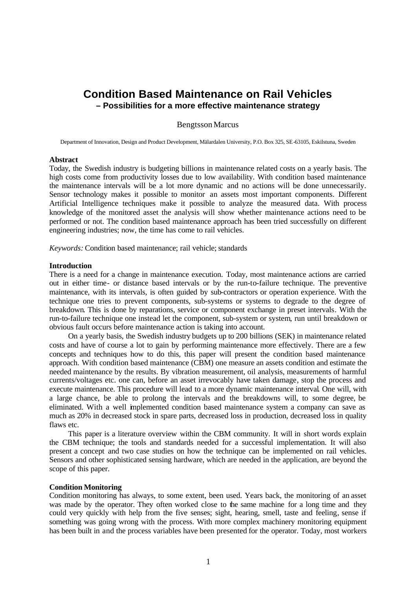# **Condition Based Maintenance on Rail Vehicles – Possibilities for a more effective maintenance strategy**

### BengtssonMarcus

Department of Innovation, Design and Product Development, Mälardalen University, P.O. Box 325, SE-63105, Eskilstuna, Sweden

#### **Abstract**

Today, the Swedish industry is budgeting billions in maintenance related costs on a yearly basis. The high costs come from productivity losses due to low availability. With condition based maintenance the maintenance intervals will be a lot more dynamic and no actions will be done unnecessarily. Sensor technology makes it possible to monitor an assets most important components. Different Artificial Intelligence techniques make it possible to analyze the measured data. With process knowledge of the monitored asset the analysis will show whether maintenance actions need to be performed or not. The condition based maintenance approach has been tried successfully on different engineering industries; now, the time has come to rail vehicles.

*Keywords:* Condition based maintenance; rail vehicle; standards

#### **Introduction**

There is a need for a change in maintenance execution. Today, most maintenance actions are carried out in either time- or distance based intervals or by the run-to-failure technique. The preventive maintenance, with its intervals, is often guided by sub-contractors or operation experience. With the technique one tries to prevent components, sub-systems or systems to degrade to the degree of breakdown. This is done by reparations, service or component exchange in preset intervals. With the run-to-failure technique one instead let the component, sub-system or system, run until breakdown or obvious fault occurs before maintenance action is taking into account.

On a yearly basis, the Swedish industry budgets up to 200 billions (SEK) in maintenance related costs and have of course a lot to gain by performing maintenance more effectively. There are a few concepts and techniques how to do this, this paper will present the condition based maintenance approach. With condition based maintenance (CBM) one measure an assets condition and estimate the needed maintenance by the results. By vibration measurement, oil analysis, measurements of harmful currents/voltages etc. one can, before an asset irrevocably have taken damage, stop the process and execute maintenance. This procedure will lead to a more dynamic maintenance interval. One will, with a large chance, be able to prolong the intervals and the breakdowns will, to some degree, be eliminated. With a well implemented condition based maintenance system a company can save as much as 20% in decreased stock in spare parts, decreased loss in production, decreased loss in quality flaws etc.

This paper is a literature overview within the CBM community. It will in short words explain the CBM technique; the tools and standards needed for a successful implementation. It will also present a concept and two case studies on how the technique can be implemented on rail vehicles. Sensors and other sophisticated sensing hardware, which are needed in the application, are beyond the scope of this paper.

### **Condition Monitoring**

Condition monitoring has always, to some extent, been used. Years back, the monitoring of an asset was made by the operator. They often worked close to the same machine for a long time and they could very quickly with help from the five senses; sight, hearing, smell, taste and feeling, sense if something was going wrong with the process. With more complex machinery monitoring equipment has been built in and the process variables have been presented for the operator. Today, most workers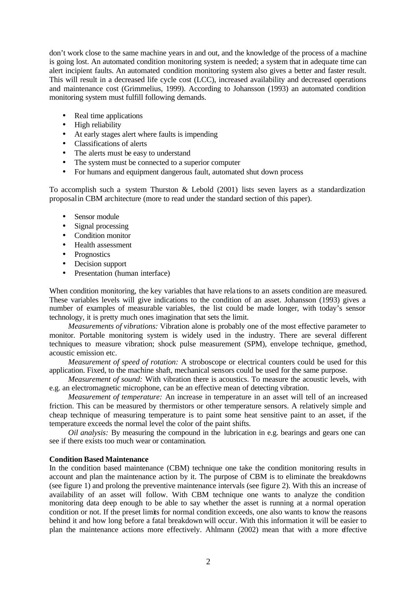don't work close to the same machine years in and out, and the knowledge of the process of a machine is going lost. An automated condition monitoring system is needed; a system that in adequate time can alert incipient faults. An automated condition monitoring system also gives a better and faster result. This will result in a decreased life cycle cost (LCC), increased availability and decreased operations and maintenance cost (Grimmelius, 1999). According to Johansson (1993) an automated condition monitoring system must fulfill following demands.

- Real time applications
- High reliability
- At early stages alert where faults is impending
- Classifications of alerts
- The alerts must be easy to understand
- The system must be connected to a superior computer
- For humans and equipment dangerous fault, automated shut down process

To accomplish such a system Thurston & Lebold (2001) lists seven layers as a standardization proposal in CBM architecture (more to read under the standard section of this paper).

- Sensor module
- Signal processing
- Condition monitor
- Health assessment
- Prognostics
- Decision support
- Presentation (human interface)

When condition monitoring, the key variables that have rela tions to an assets condition are measured. These variables levels will give indications to the condition of an asset. Johansson (1993) gives a number of examples of measurable variables, the list could be made longer, with today's sensor technology, it is pretty much ones imagination that sets the limit.

*Measurements of vibrations:* Vibration alone is probably one of the most effective parameter to monitor. Portable monitoring system is widely used in the industry. There are several different techniques to measure vibration; shock pulse measurement (SPM), envelope technique, g-method, acoustic emission etc.

*Measurement of speed of rotation:* A stroboscope or electrical counters could be used for this application. Fixed, to the machine shaft, mechanical sensors could be used for the same purpose.

*Measurement of sound:* With vibration there is acoustics. To measure the acoustic levels, with e.g. an electromagnetic microphone, can be an effective mean of detecting vibration.

*Measurement of temperature:* An increase in temperature in an asset will tell of an increased friction. This can be measured by thermistors or other temperature sensors. A relatively simple and cheap technique of measuring temperature is to paint some heat sensitive paint to an asset, if the temperature exceeds the normal level the color of the paint shifts.

*Oil analysis:* By measuring the compound in the lubrication in e.g. bearings and gears one can see if there exists too much wear or contamination.

# **Condition Based Maintenance**

In the condition based maintenance (CBM) technique one take the condition monitoring results in account and plan the maintenance action by it. The purpose of CBM is to eliminate the breakdowns (see figure 1) and prolong the preventive maintenance intervals (see figure 2). With this an increase of availability of an asset will follow. With CBM technique one wants to analyze the condition monitoring data deep enough to be able to say whether the asset is running at a normal operation condition or not. If the preset limits for normal condition exceeds, one also wants to know the reasons behind it and how long before a fatal breakdown will occur. With this information it will be easier to plan the maintenance actions more effectively. Ahlmann (2002) mean that with a more effective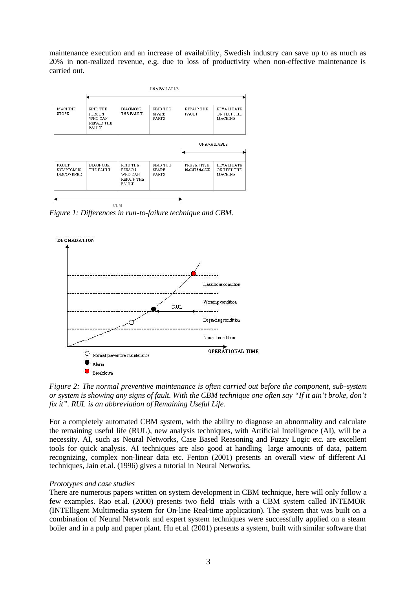maintenance execution and an increase of availability, Swedish industry can save up to as much as 20% in non-realized revenue, e.g. due to loss of productivity when non-effective maintenance is carried out.



*Figure 1: Differences in run-to-failure technique and CBM.*



*Figure 2: The normal preventive maintenance is often carried out before the component, sub-system or system is showing any signs of fault. With the CBM technique one often say "If it ain't broke, don't fix it". RUL is an abbreviation of Remaining Useful Life.*

For a completely automated CBM system, with the ability to diagnose an abnormality and calculate the remaining useful life (RUL), new analysis techniques, with Artificial Intelligence (AI), will be a necessity. AI, such as Neural Networks, Case Based Reasoning and Fuzzy Logic etc. are excellent tools for quick analysis. AI techniques are also good at handling large amounts of data, pattern recognizing, complex non-linear data etc. Fenton (2001) presents an overall view of different AI techniques, Jain et.al. (1996) gives a tutorial in Neural Networks.

# *Prototypes and case studies*

There are numerous papers written on system development in CBM technique, here will only follow a few examples. Rao et.al. (2000) presents two field trials with a CBM system called INTEMOR (INTElligent Multimedia system for On-line Real-time application). The system that was built on a combination of Neural Network and expert system techniques were successfully applied on a steam boiler and in a pulp and paper plant. Hu et.al. (2001) presents a system, built with similar software that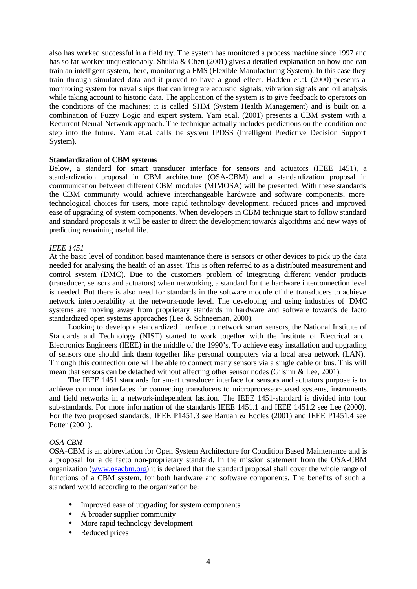also has worked successful in a field try. The system has monitored a process machine since 1997 and has so far worked unquestionably. Shukla & Chen (2001) gives a detailed explanation on how one can train an intelligent system, here, monitoring a FMS (Flexible Manufacturing System). In this case they train through simulated data and it proved to have a good effect. Hadden et.al. (2000) presents a monitoring system for nava l ships that can integrate acoustic signals, vibration signals and oil analysis while taking account to historic data. The application of the system is to give feedback to operators on the conditions of the machines; it is called SHM (System Health Management) and is built on a combination of Fuzzy Logic and expert system. Yam et.al. (2001) presents a CBM system with a Recurrent Neural Network approach. The technique actually includes predictions on the condition one step into the future. Yam et.al. calls the system IPDSS (Intelligent Predictive Decision Support System).

# **Standardization of CBM systems**

Below, a standard for smart transducer interface for sensors and actuators (IEEE 1451), a standardization proposal in CBM architecture (OSA-CBM) and a standardization proposal in communication between different CBM modules (MIMOSA) will be presented. With these standards the CBM community would achieve interchangeable hardware and software components, more technological choices for users, more rapid technology development, reduced prices and improved ease of upgrading of system components. When developers in CBM technique start to follow standard and standard proposals it will be easier to direct the development towards algorithms and new ways of predicting remaining useful life.

# *IEEE 1451*

At the basic level of condition based maintenance there is sensors or other devices to pick up the data needed for analysing the health of an asset. This is often referred to as a distributed measurement and control system (DMC). Due to the customers problem of integrating different vendor products (transducer, sensors and actuators) when networking, a standard for the hardware interconnection level is needed. But there is also need for standards in the software module of the transducers to achieve network interoperability at the network-node level. The developing and using industries of DMC systems are moving away from proprietary standards in hardware and software towards de facto standardized open systems approaches (Lee & Schneeman, 2000).

Looking to develop a standardized interface to network smart sensors, the National Institute of Standards and Technology (NIST) started to work together with the Institute of Electrical and Electronics Engineers (IEEE) in the middle of the 1990's. To achieve easy installation and upgrading of sensors one should link them together like personal computers via a local area network (LAN). Through this connection one will be able to connect many sensors via a single cable or bus. This will mean that sensors can be detached without affecting other sensor nodes (Gilsinn & Lee, 2001).

The IEEE 1451 standards for smart transducer interface for sensors and actuators purpose is to achieve common interfaces for connecting transducers to microprocessor-based systems, instruments and field networks in a network-independent fashion. The IEEE 1451-standard is divided into four sub-standards. For more information of the standards IEEE 1451.1 and IEEE 1451.2 see Lee (2000). For the two proposed standards; IEEE P1451.3 see Baruah & Eccles (2001) and IEEE P1451.4 see Potter (2001).

# *OSA-CBM*

OSA-CBM is an abbreviation for Open System Architecture for Condition Based Maintenance and is a proposal for a de facto non-proprietary standard. In the mission statement from the OSA-CBM organization (www.osacbm.org) it is declared that the standard proposal shall cover the whole range of functions of a CBM system, for both hardware and software components. The benefits of such a standard would according to the organization be:

- Improved ease of upgrading for system components
- A broader supplier community
- More rapid technology development
- Reduced prices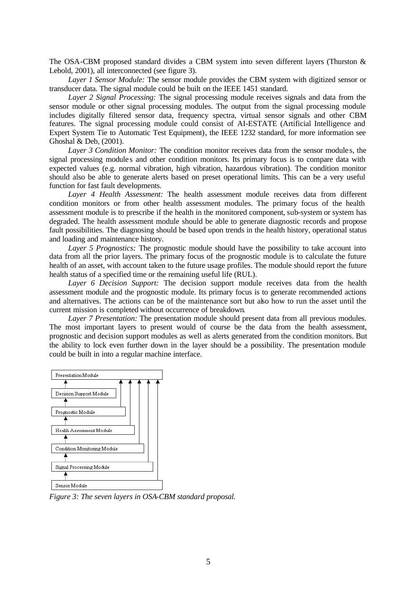The OSA-CBM proposed standard divides a CBM system into seven different layers (Thurston & Lebold, 2001), all interconnected (see figure 3).

*Layer 1 Sensor Module:* The sensor module provides the CBM system with digitized sensor or transducer data. The signal module could be built on the IEEE 1451 standard.

*Layer 2 Signal Processing:* The signal processing module receives signals and data from the sensor module or other signal processing modules. The output from the signal processing module includes digitally filtered sensor data, frequency spectra, virtual sensor signals and other CBM features. The signal processing module could consist of AI-ESTATE (Artificial Intelligence and Expert System Tie to Automatic Test Equipment), the IEEE 1232 standard, for more information see Ghoshal & Deb, (2001).

*Layer 3 Condition Monitor:* The condition monitor receives data from the sensor module s, the signal processing module s and other condition monitors. Its primary focus is to compare data with expected values (e.g. normal vibration, high vibration, hazardous vibration). The condition monitor should also be able to generate alerts based on preset operational limits. This can be a very useful function for fast fault developments.

*Layer 4 Health Assessment:* The health assessment module receives data from different condition monitors or from other health assessment modules. The primary focus of the health assessment module is to prescribe if the health in the monitored component, sub-system or system has degraded. The health assessment module should be able to generate diagnostic records and propose fault possibilities. The diagnosing should be based upon trends in the health history, operational status and loading and maintenance history.

*Layer 5 Prognostics:* The prognostic module should have the possibility to take account into data from all the prior layers. The primary focus of the prognostic module is to calculate the future health of an asset, with account taken to the future usage profiles. The module should report the future health status of a specified time or the remaining useful life (RUL).

*Layer 6 Decision Support:* The decision support module receives data from the health assessment module and the prognostic module. Its primary focus is to generate recommended actions and alternatives. The actions can be of the maintenance sort but also how to run the asset until the current mission is completed without occurrence of breakdown.

*Layer 7 Presentation:* The presentation module should present data from all previous modules. The most important layers to present would of course be the data from the health assessment, prognostic and decision support modules as well as alerts generated from the condition monitors. But the ability to lock even further down in the layer should be a possibility. The presentation module could be built in into a regular machine interface.



*Figure 3: The seven layers in OSA-CBM standard proposal.*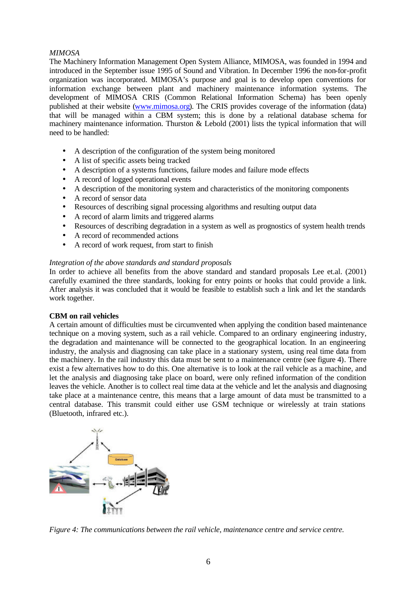# *MIMOSA*

The Machinery Information Management Open System Alliance, MIMOSA, was founded in 1994 and introduced in the September issue 1995 of Sound and Vibration. In December 1996 the non-for-profit organization was incorporated. MIMOSA's purpose and goal is to develop open conventions for information exchange between plant and machinery maintenance information systems. The development of MIMOSA CRIS (Common Relational Information Schema) has been openly published at their website (www.mimosa.org). The CRIS provides coverage of the information (data) that will be managed within a CBM system; this is done by a relational database schema for machinery maintenance information. Thurston & Lebold (2001) lists the typical information that will need to be handled:

- A description of the configuration of the system being monitored
- A list of specific assets being tracked
- A description of a systems functions, failure modes and failure mode effects
- A record of logged operational events
- A description of the monitoring system and characteristics of the monitoring components
- A record of sensor data
- Resources of describing signal processing algorithms and resulting output data
- A record of alarm limits and triggered alarms
- Resources of describing degradation in a system as well as prognostics of system health trends
- A record of recommended actions
- A record of work request, from start to finish

# *Integration of the above standards and standard proposals*

In order to achieve all benefits from the above standard and standard proposals Lee et.al. (2001) carefully examined the three standards, looking for entry points or hooks that could provide a link. After analysis it was concluded that it would be feasible to establish such a link and let the standards work together.

# **CBM on rail vehicles**

A certain amount of difficulties must be circumvented when applying the condition based maintenance technique on a moving system, such as a rail vehicle. Compared to an ordinary engineering industry, the degradation and maintenance will be connected to the geographical location. In an engineering industry, the analysis and diagnosing can take place in a stationary system, using real time data from the machinery. In the rail industry this data must be sent to a maintenance centre (see figure 4). There exist a few alternatives how to do this. One alternative is to look at the rail vehicle as a machine, and let the analysis and diagnosing take place on board, were only refined information of the condition leaves the vehicle. Another is to collect real time data at the vehicle and let the analysis and diagnosing take place at a maintenance centre, this means that a large amount of data must be transmitted to a central database. This transmit could either use GSM technique or wirelessly at train stations (Bluetooth, infrared etc.).



*Figure 4: The communications between the rail vehicle, maintenance centre and service centre.*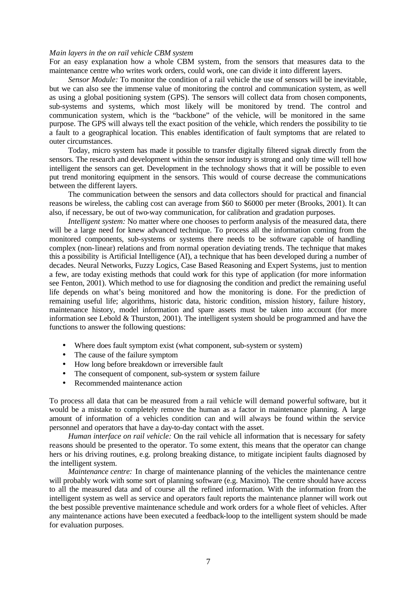### *Main layers in the on rail vehicle CBM system*

For an easy explanation how a whole CBM system, from the sensors that measures data to the maintenance centre who writes work orders, could work, one can divide it into different layers.

*Sensor Module:* To monitor the condition of a rail vehicle the use of sensors will be inevitable, but we can also see the immense value of monitoring the control and communication system, as well as using a global positioning system (GPS). The sensors will collect data from chosen components, sub-systems and systems, which most likely will be monitored by trend. The control and communication system, which is the "backbone" of the vehicle, will be monitored in the same purpose. The GPS will always tell the exact position of the vehicle, which renders the possibility to tie a fault to a geographical location. This enables identification of fault symptoms that are related to outer circumstances.

Today, micro system has made it possible to transfer digitally filtered signals directly from the sensors. The research and development within the sensor industry is strong and only time will tell how intelligent the sensors can get. Development in the technology shows that it will be possible to even put trend monitoring equipment in the sensors. This would of course decrease the communications between the different layers.

The communication between the sensors and data collectors should for practical and financial reasons be wireless, the cabling cost can average from \$60 to \$6000 per meter (Brooks, 2001). It can also, if necessary, be out of two-way communication, for calibration and gradation purposes.

*Intelligent system:* No matter where one chooses to perform analysis of the measured data, there will be a large need for knew advanced technique. To process all the information coming from the monitored components, sub-systems or systems there needs to be software capable of handling complex (non-linear) relations and from normal operation deviating trends. The technique that makes this a possibility is Artificial Intelligence (AI), a technique that has been developed during a number of decades. Neural Networks, Fuzzy Logics, Case Based Reasoning and Expert Systems, just to mention a few, are today existing methods that could work for this type of application (for more information see Fenton, 2001). Which method to use for diagnosing the condition and predict the remaining useful life depends on what's being monitored and how the monitoring is done. For the prediction of remaining useful life; algorithms, historic data, historic condition, mission history, failure history, maintenance history, model information and spare assets must be taken into account (for more information see Lebold & Thurston, 2001). The intelligent system should be programmed and have the functions to answer the following questions:

- Where does fault symptom exist (what component, sub-system or system)
- The cause of the failure symptom
- How long before breakdown or irreversible fault
- The consequent of component, sub-system or system failure
- Recommended maintenance action

To process all data that can be measured from a rail vehicle will demand powerful software, but it would be a mistake to completely remove the human as a factor in maintenance planning. A large amount of information of a vehicles condition can and will always be found within the service personnel and operators that have a day-to-day contact with the asset.

*Human interface on rail vehicle:* On the rail vehicle all information that is necessary for safety reasons should be presented to the operator. To some extent, this means that the operator can change hers or his driving routines, e.g. prolong breaking distance, to mitigate incipient faults diagnosed by the intelligent system.

*Maintenance centre:* In charge of maintenance planning of the vehicles the maintenance centre will probably work with some sort of planning software (e.g. Maximo). The centre should have access to all the measured data and of course all the refined information. With the information from the intelligent system as well as service and operators fault reports the maintenance planner will work out the best possible preventive maintenance schedule and work orders for a whole fleet of vehicles. After any maintenance actions have been executed a feedback-loop to the intelligent system should be made for evaluation purposes.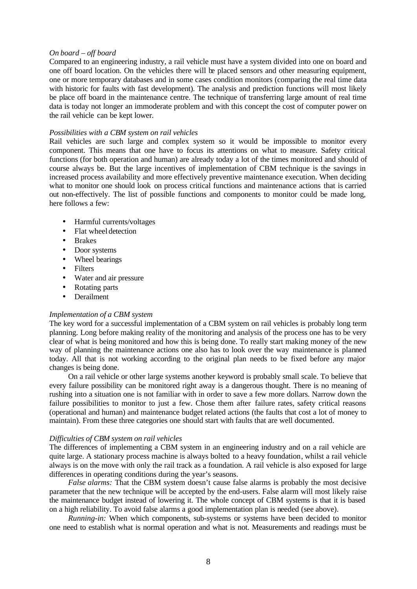### *On board – off board*

Compared to an engineering industry, a rail vehicle must have a system divided into one on board and one off board location. On the vehicles there will be placed sensors and other measuring equipment, one or more temporary databases and in some cases condition monitors (comparing the real time data with historic for faults with fast development). The analysis and prediction functions will most likely be place off board in the maintenance centre. The technique of transferring large amount of real time data is today not longer an immoderate problem and with this concept the cost of computer power on the rail vehicle can be kept lower.

#### *Possibilities with a CBM system on rail vehicles*

Rail vehicles are such large and complex system so it would be impossible to monitor every component. This means that one have to focus its attentions on what to measure. Safety critical functions (for both operation and human) are already today a lot of the times monitored and should of course always be. But the large incentives of implementation of CBM technique is the savings in increased process availability and more effectively preventive maintenance execution. When deciding what to monitor one should look on process critical functions and maintenance actions that is carried out non-effectively. The list of possible functions and components to monitor could be made long, here follows a few:

- Harmful currents/voltages
- Flat wheel detection
- Brakes
- Door systems
- Wheel bearings
- Filters
- Water and air pressure
- Rotating parts
- Derailment

### *Implementation of a CBM system*

The key word for a successful implementation of a CBM system on rail vehicles is probably long term planning. Long before making reality of the monitoring and analysis of the process one has to be very clear of what is being monitored and how this is being done. To really start making money of the new way of planning the maintenance actions one also has to look over the way maintenance is planned today. All that is not working according to the original plan needs to be fixed before any major changes is being done.

On a rail vehicle or other large systems another keyword is probably small scale. To believe that every failure possibility can be monitored right away is a dangerous thought. There is no meaning of rushing into a situation one is not familiar with in order to save a few more dollars. Narrow down the failure possibilities to monitor to just a few. Chose them after failure rates, safety critical reasons (operational and human) and maintenance budget related actions (the faults that cost a lot of money to maintain). From these three categories one should start with faults that are well documented.

#### *Difficulties of CBM system on rail vehicles*

The differences of implementing a CBM system in an engineering industry and on a rail vehicle are quite large. A stationary process machine is always bolted to a heavy foundation, whilst a rail vehicle always is on the move with only the rail track as a foundation. A rail vehicle is also exposed for large differences in operating conditions during the year's seasons.

*False alarms:* That the CBM system doesn't cause false alarms is probably the most decisive parameter that the new technique will be accepted by the end-users. False alarm will most likely raise the maintenance budget instead of lowering it. The whole concept of CBM systems is that it is based on a high reliability. To avoid false alarms a good implementation plan is needed (see above).

*Running-in:* When which components, sub-systems or systems have been decided to monitor one need to establish what is normal operation and what is not. Measurements and readings must be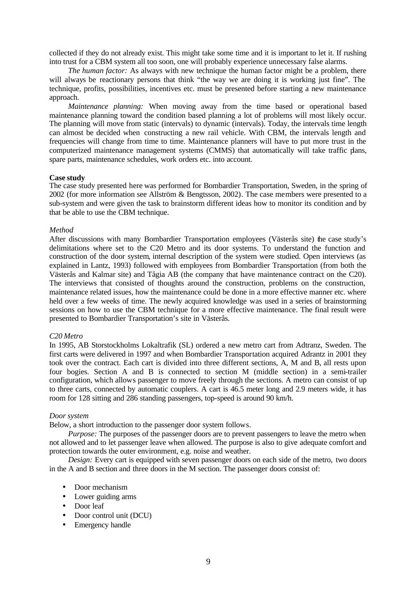collected if they do not already exist. This might take some time and it is important to let it. If rushing into trust for a CBM system all too soon, one will probably experience unnecessary false alarms.

*The human factor:* As always with new technique the human factor might be a problem, there will always be reactionary persons that think "the way we are doing it is working just fine". The technique, profits, possibilities, incentives etc. must be presented before starting a new maintenance approach.

*Maintenance planning:* When moving away from the time based or operational based maintenance planning toward the condition based planning a lot of problems will most likely occur. The planning will move from static (intervals) to dynamic (intervals). Today, the intervals time length can almost be decided when constructing a new rail vehicle. With CBM, the intervals length and frequencies will change from time to time. Maintenance planners will have to put more trust in the computerized maintenance management systems (CMMS) that automatically will take traffic plans, spare parts, maintenance schedules, work orders etc. into account.

### **Case study**

The case study presented here was performed for Bombardier Transportation, Sweden, in the spring of 2002 (for more information see Allström & Bengtsson, 2002). The case members were presented to a sub-system and were given the task to brainstorm different ideas how to monitor its condition and by that be able to use the CBM technique.

#### *Method*

After discussions with many Bombardier Transportation employees (Västerås site) the case study's delimitations where set to the C20 Metro and its door systems. To understand the function and construction of the door system, internal description of the system were studied. Open interviews (as explained in Lantz, 1993) followed with employees from Bombardier Transportation (from both the Västerås and Kalmar site) and Tågia AB (the company that have maintenance contract on the C20). The interviews that consisted of thoughts around the construction, problems on the construction, maintenance related issues, how the maintenance could be done in a more effective manner etc. where held over a few weeks of time. The newly acquired knowledge was used in a series of brainstorming sessions on how to use the CBM technique for a more effective maintenance. The final result were presented to Bombardier Transportation's site in Västerås.

## *C20 Metro*

In 1995, AB Storstockholms Lokaltrafik (SL) ordered a new metro cart from Adtranz, Sweden. The first carts were delivered in 1997 and when Bombardier Transportation acquired Adrantz in 2001 they took over the contract. Each cart is divided into three different sections, A, M and B, all rests upon four bogies. Section A and B is connected to section M (middle section) in a semi-trailer configuration, which allows passenger to move freely through the sections. A metro can consist of up to three carts, connected by automatic couplers. A cart is 46.5 meter long and 2.9 meters wide, it has room for 128 sitting and 286 standing passengers, top-speed is around 90 km/h.

### *Door system*

Below, a short introduction to the passenger door system follows.

*Purpose:* The purposes of the passenger doors are to prevent passengers to leave the metro when not allowed and to let passenger leave when allowed. The purpose is also to give adequate comfort and protection towards the outer environment, e.g. noise and weather.

*Design:* Every cart is equipped with seven passenger doors on each side of the metro, two doors in the A and B section and three doors in the M section. The passenger doors consist of:

- Door mechanism
- Lower guiding arms
- Door leaf
- Door control unit (DCU)
- Emergency handle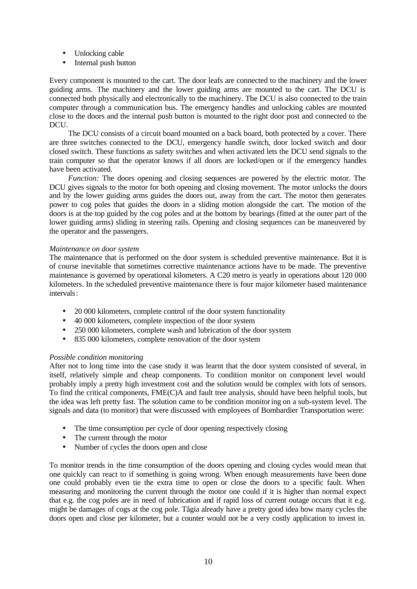- Unlocking cable
- Internal push button

Every component is mounted to the cart. The door leafs are connected to the machinery and the lower guiding arms. The machinery and the lower guiding arms are mounted to the cart. The DCU is connected both physically and electronically to the machinery. The DCU is also connected to the train computer through a communication bus. The emergency handles and unlocking cables are mounted close to the doors and the internal push button is mounted to the right door post and connected to the DCU.

The DCU consists of a circuit board mounted on a back board, both protected by a cover. There are three switches connected to the DCU, emergency handle switch, door locked switch and door closed switch. These functions as safety switches and when activated lets the DCU send signals to the train computer so that the operator knows if all doors are locked/open or if the emergency handles have been activated.

*Function:* The doors opening and closing sequences are powered by the electric motor. The DCU gives signals to the motor for both opening and closing movement. The motor unlocks the doors and by the lower guiding arms guides the doors out, away from the cart. The motor then generates power to cog poles that guides the doors in a sliding motion alongside the cart. The motion of the doors is at the top guided by the cog poles and at the bottom by bearings (fitted at the outer part of the lower guiding arms) sliding in steering rails. Opening and closing sequences can be maneuvered by the operator and the passengers.

# *Maintenance on door system*

The maintenance that is performed on the door system is scheduled preventive maintenance. But it is of course inevitable that sometimes corrective maintenance actions have to be made. The preventive maintenance is governed by operational kilometers. A C20 metro is yearly in operations about 120 000 kilometers. In the scheduled preventive maintenance there is four major kilometer based maintenance intervals:

- 20 000 kilometers, complete control of the door system functionality
- 40 000 kilometers, complete inspection of the door system
- 250 000 kilometers, complete wash and lubrication of the door system
- 835 000 kilometers, complete renovation of the door system

# *Possible condition monitoring*

After not to long time into the case study it was learnt that the door system consisted of several, in itself, relatively simple and cheap components. To condition monitor on component level would probably imply a pretty high investment cost and the solution would be complex with lots of sensors. To find the critical components, FME(C)A and fault tree analysis, should have been helpful tools, but the idea was left pretty fast. The solution came to be condition monitoring on a sub-system level. The signals and data (to monitor) that were discussed with employees of Bombardier Transportation were:

- The time consumption per cycle of door opening respectively closing
- The current through the motor
- Number of cycles the doors open and close

To monitor trends in the time consumption of the doors opening and closing cycles would mean that one quickly can react to if something is going wrong. When enough measurements have been done one could probably even tie the extra time to open or close the doors to a specific fault. When measuring and monitoring the current through the motor one could if it is higher than normal expect that e.g. the cog poles are in need of lubrication and if rapid loss of current outage occurs that it e.g. might be damages of cogs at the cog pole. Tågia already have a pretty good idea how many cycles the doors open and close per kilometer, but a counter would not be a very costly application to invest in.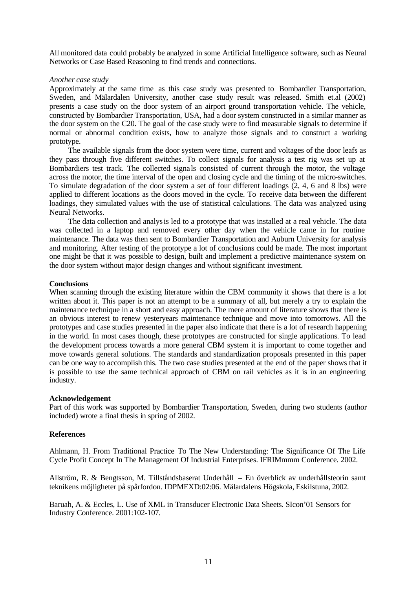All monitored data could probably be analyzed in some Artificial Intelligence software, such as Neural Networks or Case Based Reasoning to find trends and connections.

### *Another case study*

Approximately at the same time as this case study was presented to Bombardier Transportation, Sweden, and Mälardalen University, another case study result was released. Smith et.al (2002) presents a case study on the door system of an airport ground transportation vehicle. The vehicle, constructed by Bombardier Transportation, USA, had a door system constructed in a similar manner as the door system on the C20. The goal of the case study were to find measurable signals to determine if normal or abnormal condition exists, how to analyze those signals and to construct a working prototype.

The available signals from the door system were time, current and voltages of the door leafs as they pass through five different switches. To collect signals for analysis a test rig was set up at Bombardiers test track. The collected signa ls consisted of current through the motor, the voltage across the motor, the time interval of the open and closing cycle and the timing of the micro-switches. To simulate degradation of the door system a set of four different loadings (2, 4, 6 and 8 lbs) were applied to different locations as the doors moved in the cycle. To receive data between the different loadings, they simulated values with the use of statistical calculations. The data was analyzed using Neural Networks.

The data collection and analysis led to a prototype that was installed at a real vehicle. The data was collected in a laptop and removed every other day when the vehicle came in for routine maintenance. The data was then sent to Bombardier Transportation and Auburn University for analysis and monitoring. After testing of the prototype a lot of conclusions could be made. The most important one might be that it was possible to design, built and implement a predictive maintenance system on the door system without major design changes and without significant investment.

### **Conclusions**

When scanning through the existing literature within the CBM community it shows that there is a lot written about it. This paper is not an attempt to be a summary of all, but merely a try to explain the maintenance technique in a short and easy approach. The mere amount of literature shows that there is an obvious interest to renew yesteryears maintenance technique and move into tomorrows. All the prototypes and case studies presented in the paper also indicate that there is a lot of research happening in the world. In most cases though, these prototypes are constructed for single applications. To lead the development process towards a more general CBM system it is important to come together and move towards general solutions. The standards and standardization proposals presented in this paper can be one way to accomplish this. The two case studies presented at the end of the paper shows that it is possible to use the same technical approach of CBM on rail vehicles as it is in an engineering industry.

### **Acknowledgement**

Part of this work was supported by Bombardier Transportation, Sweden, during two students (author included) wrote a final thesis in spring of 2002.

### **References**

Ahlmann, H. From Traditional Practice To The New Understanding: The Significance Of The Life Cycle Profit Concept In The Management Of Industrial Enterprises. IFRIMmmm Conference. 2002.

Allström, R. & Bengtsson, M. Tillståndsbaserat Underhåll – En överblick av underhållsteorin samt teknikens möjligheter på spårfordon. IDPMEXD:02:06. Mälardalens Högskola, Eskilstuna, 2002.

Baruah, A. & Eccles, L. Use of XML in Transducer Electronic Data Sheets. SIcon'01 Sensors for Industry Conference. 2001:102-107.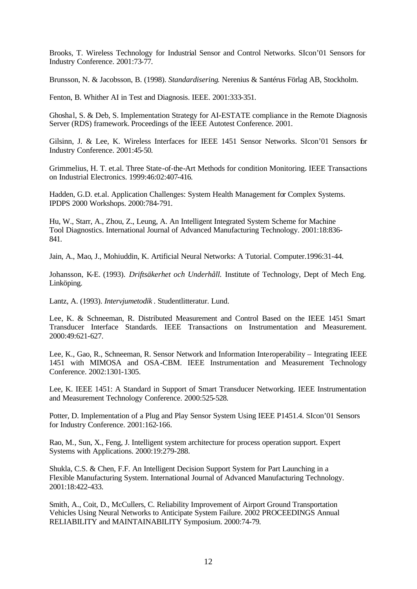Brooks, T. Wireless Technology for Industrial Sensor and Control Networks. SIcon'01 Sensors for Industry Conference. 2001:73-77.

Brunsson, N. & Jacobsson, B. (1998). *Standardisering*. Nerenius & Santérus Förlag AB, Stockholm.

Fenton, B. Whither AI in Test and Diagnosis. IEEE. 2001:333-351.

Ghoshal, S. & Deb, S. Implementation Strategy for AI-ESTATE compliance in the Remote Diagnosis Server (RDS) framework. Proceedings of the IEEE Autotest Conference. 2001.

Gilsinn, J. & Lee, K. Wireless Interfaces for IEEE 1451 Sensor Networks. SIcon'01 Sensors for Industry Conference. 2001:45-50.

Grimmelius, H. T. et.al. Three State-of-the-Art Methods for condition Monitoring. IEEE Transactions on Industrial Electronics. 1999:46:02:407-416.

Hadden, G.D. et.al. Application Challenges: System Health Management for Complex Systems. IPDPS 2000 Workshops. 2000:784-791.

Hu, W., Starr, A., Zhou, Z., Leung, A. An Intelligent Integrated System Scheme for Machine Tool Diagnostics. International Journal of Advanced Manufacturing Technology. 2001:18:836- 841.

Jain, A., Mao, J., Mohiuddin, K. Artificial Neural Networks: A Tutorial. Computer.1996:31-44.

Johansson, K-E. (1993). *Driftsäkerhet och Underhåll.* Institute of Technology, Dept of Mech Eng. Linköping.

Lantz, A. (1993). *Intervjumetodik* . Studentlitteratur. Lund.

Lee, K. & Schneeman, R. Distributed Measurement and Control Based on the IEEE 1451 Smart Transducer Interface Standards. IEEE Transactions on Instrumentation and Measurement. 2000:49:621-627.

Lee, K., Gao, R., Schneeman, R. Sensor Network and Information Interoperability – Integrating IEEE 1451 with MIMOSA and OSA-CBM. IEEE Instrumentation and Measurement Technology Conference. 2002:1301-1305.

Lee, K. IEEE 1451: A Standard in Support of Smart Transducer Networking. IEEE Instrumentation and Measurement Technology Conference. 2000:525-528.

Potter, D. Implementation of a Plug and Play Sensor System Using IEEE P1451.4. SIcon'01 Sensors for Industry Conference. 2001:162-166.

Rao, M., Sun, X., Feng, J. Intelligent system architecture for process operation support. Expert Systems with Applications. 2000:19:279-288.

Shukla, C.S. & Chen, F.F. An Intelligent Decision Support System for Part Launching in a Flexible Manufacturing System. International Journal of Advanced Manufacturing Technology. 2001:18:422-433.

Smith, A., Coit, D., McCullers, C. Reliability Improvement of Airport Ground Transportation Vehicles Using Neural Networks to Anticipate System Failure. 2002 PROCEEDINGS Annual RELIABILITY and MAINTAINABILITY Symposium. 2000:74-79.